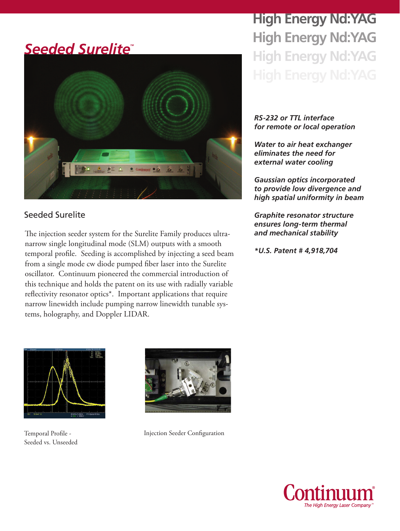# **Seeded Surelite®**



### Seeded Surelite

The injection seeder system for the Surelite Family produces ultranarrow single longitudinal mode (SLM) outputs with a smooth temporal profile. Seeding is accomplished by injecting a seed beam from a single mode cw diode pumped fiber laser into the Surelite oscillator. Continuum pioneered the commercial introduction of this technique and holds the patent on its use with radially variable reflectivity resonator optics\*. Important applications that require narrow linewidth include pumping narrow linewidth tunable systems, holography, and Doppler LIDAR.

**High Energy Nd:YAG High Energy Nd:YAG High Energy Nd:YAG**

#### *RS-232 or TTL interface for remote or local operation*

*Water to air heat exchanger eliminates the need for external water cooling*

*Gaussian optics incorporated to provide low divergence and high spatial uniformity in beam*

*Graphite resonator structure ensures long-term thermal and mechanical stability*

*\*U.S. Patent # 4,918,704*



Temporal Profile - Seeded vs. Unseeded



Injection Seeder Configuration

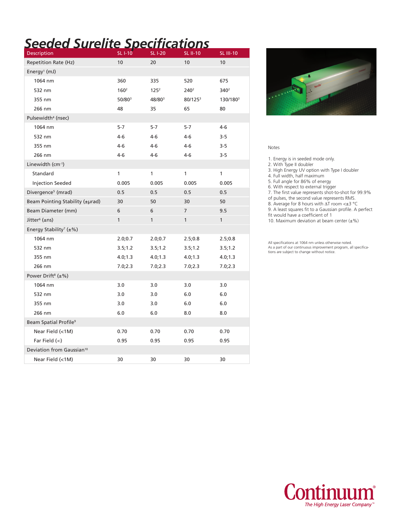# *Seeded Surelite Specifications*

| Description                              | <b>SL I-10</b>   | <b>SL I-20</b>   | <b>SL II-10</b>     | <b>SL III-10</b>     |
|------------------------------------------|------------------|------------------|---------------------|----------------------|
| <b>Repetition Rate (Hz)</b>              | 10               | 20               | 10                  | 10                   |
| Energy <sup>1</sup> (mJ)                 |                  |                  |                     |                      |
| 1064 nm                                  | 360              | 335              | 520                 | 675                  |
| 532 nm                                   | 160 <sup>2</sup> | 125 <sup>2</sup> | 240 <sup>2</sup>    | 340 <sup>2</sup>     |
| 355 nm                                   | 50/803           | 48/803           | 80/125 <sup>3</sup> | 130/180 <sup>3</sup> |
| 266 nm                                   | 48               | 35               | 65                  | 80                   |
| Pulsewidth <sup>4</sup> (nsec)           |                  |                  |                     |                      |
| 1064 nm                                  | $5 - 7$          | $5-7$            | $5 - 7$             | $4 - 6$              |
| 532 nm                                   | 4-6              | $4 - 6$          | $4 - 6$             | $3 - 5$              |
| 355 nm                                   | 4-6              | 4-6              | 4-6                 | $3 - 5$              |
| 266 nm                                   | 4-6              | 4-6              | $4-6$               | $3 - 5$              |
| Linewidth (cm-1)                         |                  |                  |                     |                      |
| Standard                                 | $\mathbf{1}$     | 1                | 1                   | $\mathbf{1}$         |
| <b>Injection Seeded</b>                  | 0.005            | 0.005            | 0.005               | 0.005                |
| Divergence <sup>5</sup> (mrad)           | 0.5              | 0.5              | 0.5                 | 0.5                  |
| Beam Pointing Stability (±µrad)          | 30               | 50               | 30                  | 50                   |
| Beam Diameter (mm)                       | 6                | 6                | 7                   | 9.5                  |
| Jitter <sup>6</sup> (±ns)                | $\mathbf{1}$     | $\mathbf{1}$     | $\mathbf{1}$        | 1                    |
| Energy Stability <sup>7</sup> ( $\pm$ %) |                  |                  |                     |                      |
| 1064 nm                                  | 2.0;0.7          | 2.0;0.7          | 2.5;0.8             | 2.5;0.8              |
| 532 nm                                   | 3.5;1.2          | 3.5;1.2          | 3.5;1.2             | 3.5;1.2              |
| 355 nm                                   | 4.0; 1.3         | 4.0; 1.3         | 4.0; 1.3            | 4.0; 1.3             |
| 266 nm                                   | 7.0;2.3          | 7.0;2.3          | 7.0;2.3             | 7.0;2.3              |
| Power Drift <sup>8</sup> (±%)            |                  |                  |                     |                      |
| 1064 nm                                  | 3.0              | 3.0              | 3.0                 | 3.0                  |
| 532 nm                                   | 3.0              | 3.0              | 6.0                 | 6.0                  |
| 355 nm                                   | 3.0              | 3.0              | 6.0                 | 6.0                  |
| 266 nm                                   | 6.0              | 6.0              | 8.0                 | 8.0                  |
| Beam Spatial Profile <sup>9</sup>        |                  |                  |                     |                      |
| Near Field (<1M)                         | 0.70             | 0.70             | 0.70                | 0.70                 |
| Far Field $(\infty)$                     | 0.95             | 0.95             | 0.95                | 0.95                 |
| Deviation from Gaussian <sup>10</sup>    |                  |                  |                     |                      |
| Near Field (<1M)                         | 30               | 30               | 30                  | 30                   |



#### Notes

1. Energy is in seeded mode only.

2. With Type II doubler

3. High Energy UV option with Type I doubler

4. Full width, half maximum

5. Full angle for 86% of energy

6. With respect to external trigger

7. The first value represents shot-to-shot for 99.9%

of pulses, the second value represents RMS.

8. Average for 8 hours with  $\Delta T$  room < $\pm 3$  °C

9. A least squares fit to a Gaussian profile. A perfect

fit would have a coefficient of 1

10. Maximum deviation at beam center  $(\pm \%)$ 

All specifications at 1064 nm unless otherwise noted. As a part of our continuous improvement program, all specifica-tions are subject to change without notice.